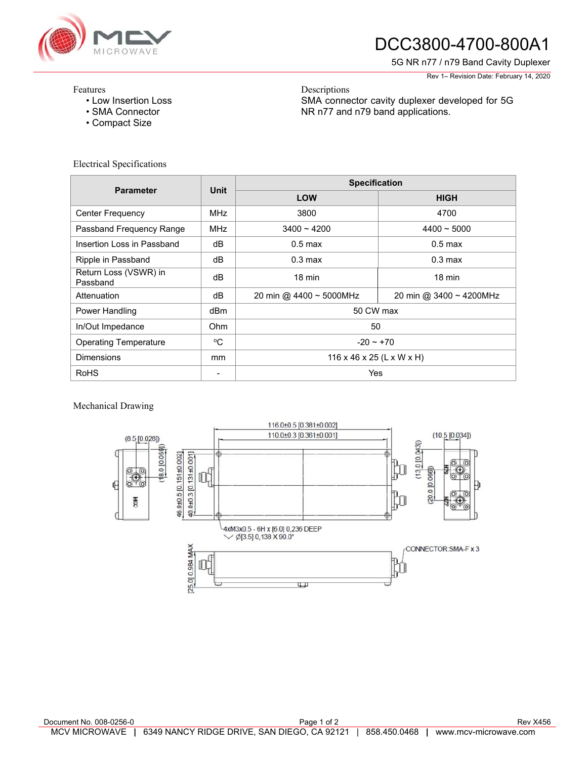

# DCC3800-4700-800A1

SMA connector cavity duplexer developed for 5G

NR n77 and n79 band applications.

5G NR n77 / n79 Band Cavity Duplexer

Rev 1– Revision Date: February 14, 2020

#### Features

- Low Insertion Loss
- SMA Connector
- Compact Size

### Electrical Specifications

| <b>Parameter</b>                  | <b>Unit</b>              | <b>Specification</b>      |                         |
|-----------------------------------|--------------------------|---------------------------|-------------------------|
|                                   |                          | <b>LOW</b>                | <b>HIGH</b>             |
| <b>Center Frequency</b>           | MHz                      | 3800                      | 4700                    |
| Passband Frequency Range          | <b>MHz</b>               | $3400 - 4200$             | $4400 - 5000$           |
| Insertion Loss in Passband        | dB                       | $0.5$ max                 | $0.5$ max               |
| Ripple in Passband                | dB                       | $0.3 \text{ max}$         | $0.3 \text{ max}$       |
| Return Loss (VSWR) in<br>Passband | dB                       | $18 \text{ min}$          | $18 \text{ min}$        |
| Attenuation                       | dB                       | 20 min @ 4400 ~ 5000MHz   | 20 min @ 3400 ~ 4200MHz |
| Power Handling                    | dBm                      | 50 CW max                 |                         |
| In/Out Impedance                  | Ohm                      | 50                        |                         |
| <b>Operating Temperature</b>      | $^{\circ}C$              | $-20 - 70$                |                         |
| <b>Dimensions</b>                 | mm                       | 116 x 46 x 25 (L x W x H) |                         |
| <b>RoHS</b>                       | $\overline{\phantom{0}}$ | Yes                       |                         |

Descriptions

### Mechanical Drawing